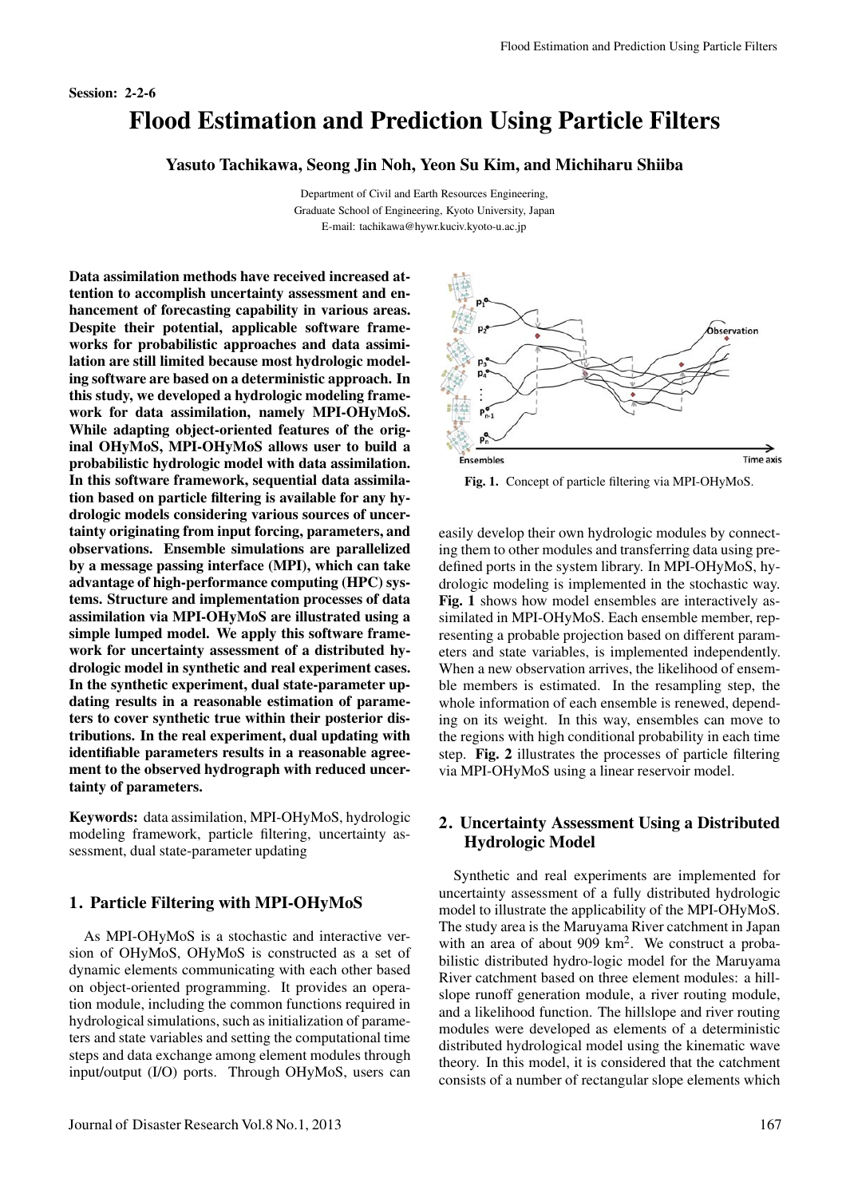Session: 2-2-6

## Flood Estimation and Prediction Using Particle Filters

Yasuto Tachikawa, Seong Jin Noh, Yeon Su Kim, and Michiharu Shiiba

Department of Civil and Earth Resources Engineering, Graduate School of Engineering, Kyoto University, Japan E-mail: tachikawa@hywr.kuciv.kyoto-u.ac.jp

Data assimilation methods have received increased attention to accomplish uncertainty assessment and enhancement of forecasting capability in various areas. Despite their potential, applicable software frameworks for probabilistic approaches and data assimilation are still limited because most hydrologic modeling software are based on a deterministic approach. In this study, we developed a hydrologic modeling framework for data assimilation, namely MPI-OHyMoS. While adapting object-oriented features of the original OHyMoS, MPI-OHyMoS allows user to build a probabilistic hydrologic model with data assimilation. In this software framework, sequential data assimilation based on particle filtering is available for any hydrologic models considering various sources of uncertainty originating from input forcing, parameters, and observations. Ensemble simulations are parallelized by a message passing interface (MPI), which can take advantage of high-performance computing (HPC) systems. Structure and implementation processes of data assimilation via MPI-OHyMoS are illustrated using a simple lumped model. We apply this software framework for uncertainty assessment of a distributed hydrologic model in synthetic and real experiment cases. In the synthetic experiment, dual state-parameter updating results in a reasonable estimation of parameters to cover synthetic true within their posterior distributions. In the real experiment, dual updating with identifiable parameters results in a reasonable agreement to the observed hydrograph with reduced uncertainty of parameters.

Keywords: data assimilation, MPI-OHyMoS, hydrologic modeling framework, particle filtering, uncertainty assessment, dual state-parameter updating

## 1. Particle Filtering with MPI-OHyMoS

As MPI-OHyMoS is a stochastic and interactive version of OHyMoS, OHyMoS is constructed as a set of dynamic elements communicating with each other based on object-oriented programming. It provides an operation module, including the common functions required in hydrological simulations, such as initialization of parameters and state variables and setting the computational time steps and data exchange among element modules through input/output (I/O) ports. Through OHyMoS, users can



Fig. 1. Concept of particle filtering via MPI-OHyMoS.

easily develop their own hydrologic modules by connecting them to other modules and transferring data using predefined ports in the system library. In MPI-OHyMoS, hydrologic modeling is implemented in the stochastic way. Fig. 1 shows how model ensembles are interactively assimilated in MPI-OHyMoS. Each ensemble member, representing a probable projection based on different parameters and state variables, is implemented independently. When a new observation arrives, the likelihood of ensemble members is estimated. In the resampling step, the whole information of each ensemble is renewed, depending on its weight. In this way, ensembles can move to the regions with high conditional probability in each time step. Fig. 2 illustrates the processes of particle filtering via MPI-OHyMoS using a linear reservoir model.

## 2. Uncertainty Assessment Using a Distributed Hydrologic Model

Synthetic and real experiments are implemented for uncertainty assessment of a fully distributed hydrologic model to illustrate the applicability of the MPI-OHyMoS. The study area is the Maruyama River catchment in Japan with an area of about 909 km<sup>2</sup>. We construct a probabilistic distributed hydro-logic model for the Maruyama River catchment based on three element modules: a hillslope runoff generation module, a river routing module, and a likelihood function. The hillslope and river routing modules were developed as elements of a deterministic distributed hydrological model using the kinematic wave theory. In this model, it is considered that the catchment consists of a number of rectangular slope elements which